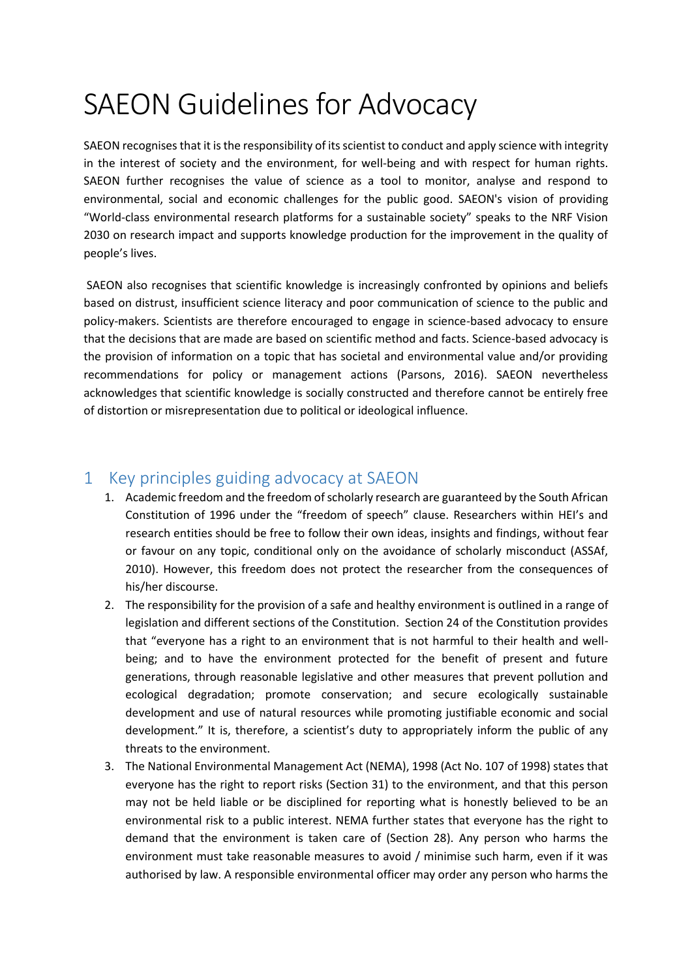## SAEON Guidelines for Advocacy

SAEON recognises that it is the responsibility of its scientist to conduct and apply science with integrity in the interest of society and the environment, for well-being and with respect for human rights. SAEON further recognises the value of science as a tool to monitor, analyse and respond to environmental, social and economic challenges for the public good. SAEON's vision of providing "World-class environmental research platforms for a sustainable society" speaks to the NRF Vision 2030 on research impact and supports knowledge production for the improvement in the quality of people's lives.

SAEON also recognises that scientific knowledge is increasingly confronted by opinions and beliefs based on distrust, insufficient science literacy and poor communication of science to the public and policy-makers. Scientists are therefore encouraged to engage in science-based advocacy to ensure that the decisions that are made are based on scientific method and facts. Science-based advocacy is the provision of information on a topic that has societal and environmental value and/or providing recommendations for policy or management actions (Parsons, 2016). SAEON nevertheless acknowledges that scientific knowledge is socially constructed and therefore cannot be entirely free of distortion or misrepresentation due to political or ideological influence.

## 1 Key principles guiding advocacy at SAEON

- 1. Academic freedom and the freedom of scholarly research are guaranteed by the South African Constitution of 1996 under the "freedom of speech" clause. Researchers within HEI's and research entities should be free to follow their own ideas, insights and findings, without fear or favour on any topic, conditional only on the avoidance of scholarly misconduct (ASSAf, 2010). However, this freedom does not protect the researcher from the consequences of his/her discourse.
- 2. The responsibility for the provision of a safe and healthy environment is outlined in a range of legislation and different sections of the Constitution. Section 24 of the Constitution provides that "everyone has a right to an environment that is not harmful to their health and wellbeing; and to have the environment protected for the benefit of present and future generations, through reasonable legislative and other measures that prevent pollution and ecological degradation; promote conservation; and secure ecologically sustainable development and use of natural resources while promoting justifiable economic and social development." It is, therefore, a scientist's duty to appropriately inform the public of any threats to the environment.
- 3. The National Environmental Management Act (NEMA), 1998 (Act No. 107 of 1998) states that everyone has the right to report risks (Section 31) to the environment, and that this person may not be held liable or be disciplined for reporting what is honestly believed to be an environmental risk to a public interest. NEMA further states that everyone has the right to demand that the environment is taken care of (Section 28). Any person who harms the environment must take reasonable measures to avoid / minimise such harm, even if it was authorised by law. A responsible environmental officer may order any person who harms the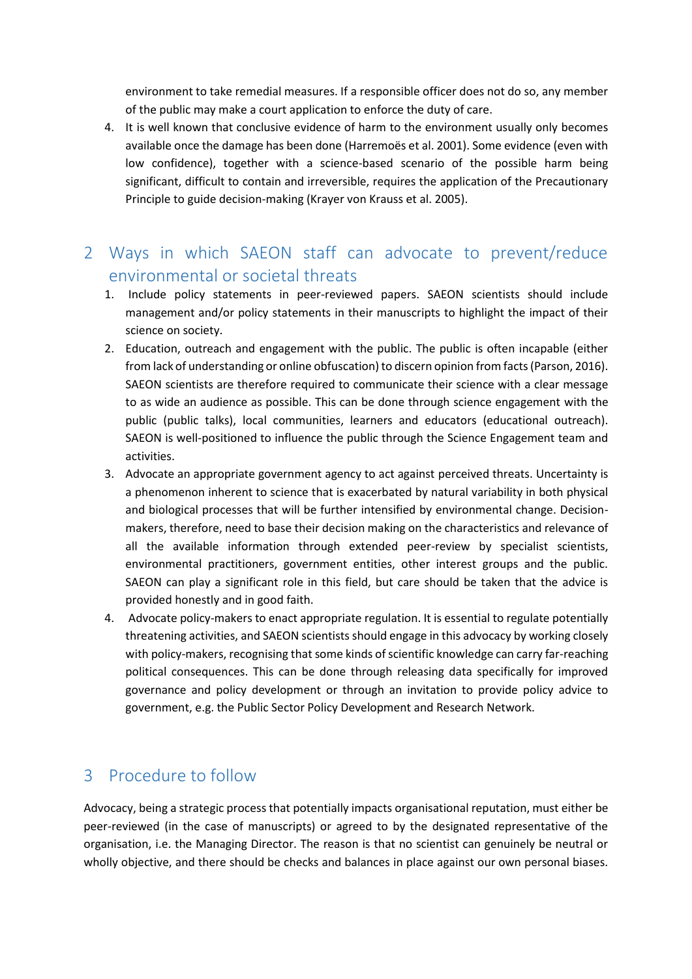environment to take remedial measures. If a responsible officer does not do so, any member of the public may make a court application to enforce the duty of care.

- 4. It is well known that conclusive evidence of harm to the environment usually only becomes available once the damage has been done (Harremoës et al. 2001). Some evidence (even with low confidence), together with a science-based scenario of the possible harm being significant, difficult to contain and irreversible, requires the application of the Precautionary Principle to guide decision-making (Krayer von Krauss et al. 2005).
- 2 Ways in which SAEON staff can advocate to prevent/reduce environmental or societal threats
	- 1. Include policy statements in peer-reviewed papers. SAEON scientists should include management and/or policy statements in their manuscripts to highlight the impact of their science on society.
	- 2. Education, outreach and engagement with the public. The public is often incapable (either from lack of understanding or online obfuscation) to discern opinion from facts (Parson, 2016). SAEON scientists are therefore required to communicate their science with a clear message to as wide an audience as possible. This can be done through science engagement with the public (public talks), local communities, learners and educators (educational outreach). SAEON is well-positioned to influence the public through the Science Engagement team and activities.
	- 3. Advocate an appropriate government agency to act against perceived threats. Uncertainty is a phenomenon inherent to science that is exacerbated by natural variability in both physical and biological processes that will be further intensified by environmental change. Decisionmakers, therefore, need to base their decision making on the characteristics and relevance of all the available information through extended peer-review by specialist scientists, environmental practitioners, government entities, other interest groups and the public. SAEON can play a significant role in this field, but care should be taken that the advice is provided honestly and in good faith.
	- 4. Advocate policy-makers to enact appropriate regulation. It is essential to regulate potentially threatening activities, and SAEON scientists should engage in this advocacy by working closely with policy-makers, recognising that some kinds of scientific knowledge can carry far-reaching political consequences. This can be done through releasing data specifically for improved governance and policy development or through an invitation to provide policy advice to government, e.g. the Public Sector Policy Development and Research Network.

## 3 Procedure to follow

Advocacy, being a strategic process that potentially impacts organisational reputation, must either be peer-reviewed (in the case of manuscripts) or agreed to by the designated representative of the organisation, i.e. the Managing Director. The reason is that no scientist can genuinely be neutral or wholly objective, and there should be checks and balances in place against our own personal biases.